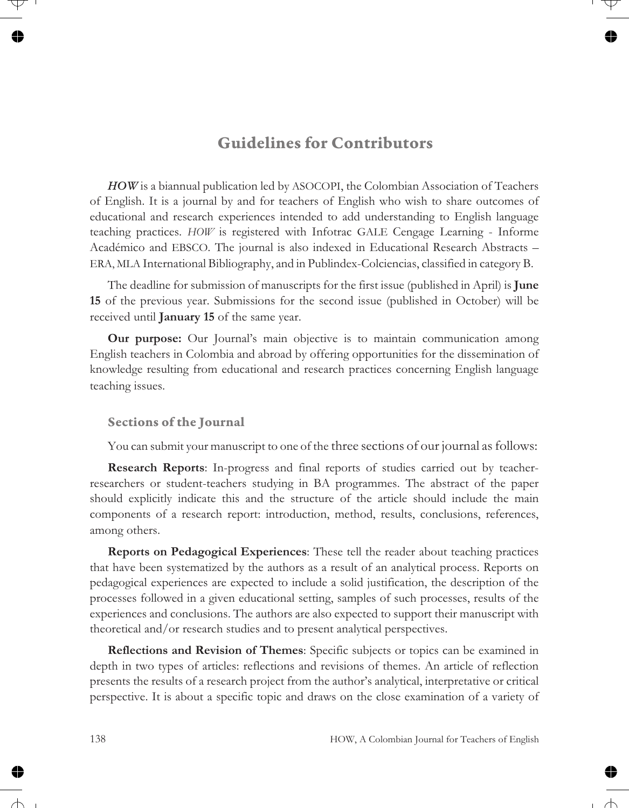## **Guidelines for Contributors**

*HOW* is a biannual publication led by ASOCOPI, the Colombian Association of Teachers of English. It is a journal by and for teachers of English who wish to share outcomes of educational and research experiences intended to add understanding to English language teaching practices. *HOW* is registered with Infotrac GALE Cengage Learning - Informe Académico and EBSCO. The journal is also indexed in Educational Research Abstracts – ERA, MLA International Bibliography, and in Publindex-Colciencias, classified in category B.

The deadline for submission of manuscripts for the first issue (published in April) is **June 15** of the previous year. Submissions for the second issue (published in October) will be received until **January 15** of the same year.

**Our purpose:** Our Journal's main objective is to maintain communication among English teachers in Colombia and abroad by offering opportunities for the dissemination of knowledge resulting from educational and research practices concerning English language teaching issues.

#### **Sections of the Journal**

You can submit your manuscript to one of the three sections of our journal as follows:

**Research Reports**: In-progress and final reports of studies carried out by teacherresearchers or student-teachers studying in BA programmes. The abstract of the paper should explicitly indicate this and the structure of the article should include the main components of a research report: introduction, method, results, conclusions, references, among others.

**Reports on Pedagogical Experiences**: These tell the reader about teaching practices that have been systematized by the authors as a result of an analytical process. Reports on pedagogical experiences are expected to include a solid justification, the description of the processes followed in a given educational setting, samples of such processes, results of the experiences and conclusions. The authors are also expected to support their manuscript with theoretical and/or research studies and to present analytical perspectives.

**Reflections and Revision of Themes**: Specific subjects or topics can be examined in depth in two types of articles: reflections and revisions of themes. An article of reflection presents the results of a research project from the author's analytical, interpretative or critical perspective. It is about a specific topic and draws on the close examination of a variety of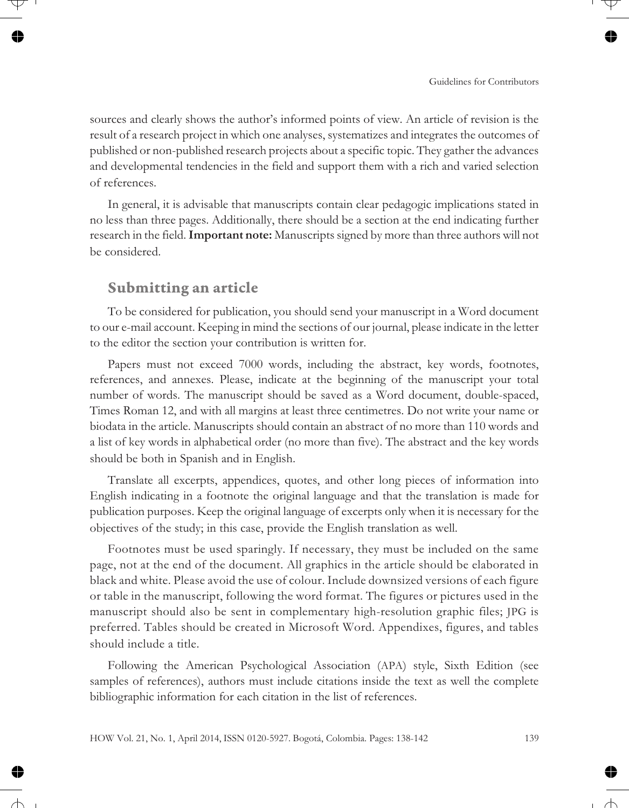sources and clearly shows the author's informed points of view. An article of revision is the result of a research project in which one analyses, systematizes and integrates the outcomes of published or non-published research projects about a specific topic. They gather the advances and developmental tendencies in the field and support them with a rich and varied selection of references.

In general, it is advisable that manuscripts contain clear pedagogic implications stated in no less than three pages. Additionally, there should be a section at the end indicating further research in the field.**Important note:** Manuscripts signed by more than three authors will not be considered.

## **Submitting an article**

To be considered for publication, you should send your manuscript in a Word document to our e-mail account. Keeping in mind the sections of our journal, please indicate in the letter to the editor the section your contribution is written for.

Papers must not exceed 7000 words, including the abstract, key words, footnotes, references, and annexes. Please, indicate at the beginning of the manuscript your total number of words. The manuscript should be saved as a Word document, double-spaced, Times Roman 12, and with all margins at least three centimetres. Do not write your name or biodata in the article. Manuscripts should contain an abstract of no more than 110 words and a list of key words in alphabetical order (no more than five). The abstract and the key words should be both in Spanish and in English.

Translate all excerpts, appendices, quotes, and other long pieces of information into English indicating in a footnote the original language and that the translation is made for publication purposes. Keep the original language of excerpts only when it is necessary for the objectives of the study; in this case, provide the English translation as well.

Footnotes must be used sparingly. If necessary, they must be included on the same page, not at the end of the document. All graphics in the article should be elaborated in black and white. Please avoid the use of colour. Include downsized versions of each figure or table in the manuscript, following the word format. The figures or pictures used in the manuscript should also be sent in complementary high-resolution graphic files; JPG is preferred. Tables should be created in Microsoft Word. Appendixes, figures, and tables should include a title.

Following the American Psychological Association (APA) style, Sixth Edition (see samples of references), authors must include citations inside the text as well the complete bibliographic information for each citation in the list of references.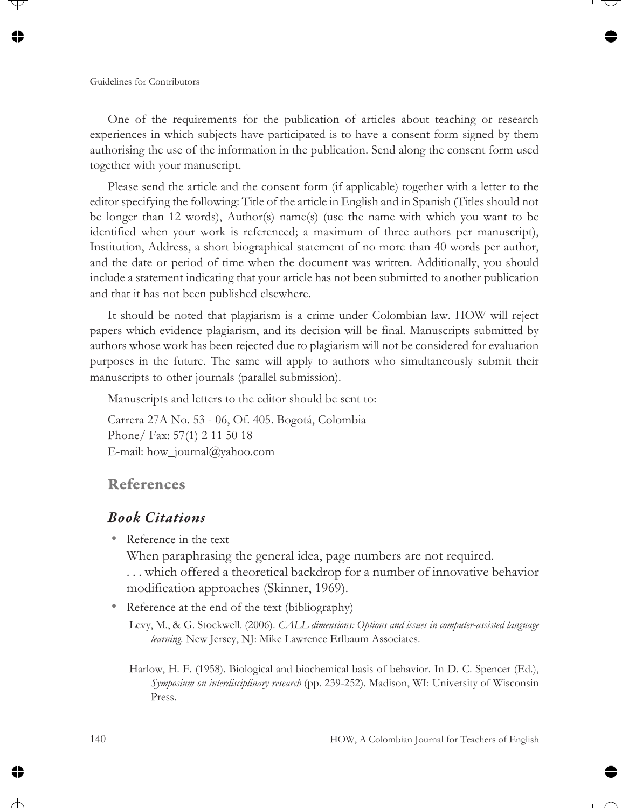One of the requirements for the publication of articles about teaching or research experiences in which subjects have participated is to have a consent form signed by them authorising the use of the information in the publication. Send along the consent form used together with your manuscript.

Please send the article and the consent form (if applicable) together with a letter to the editor specifying the following: Title of the article in English and in Spanish (Titles should not be longer than 12 words), Author(s) name(s) (use the name with which you want to be identified when your work is referenced; a maximum of three authors per manuscript), Institution, Address, a short biographical statement of no more than 40 words per author, and the date or period of time when the document was written. Additionally, you should include a statement indicating that your article has not been submitted to another publication and that it has not been published elsewhere.

It should be noted that plagiarism is a crime under Colombian law. HOW will reject papers which evidence plagiarism, and its decision will be final. Manuscripts submitted by authors whose work has been rejected due to plagiarism will not be considered for evaluation purposes in the future. The same will apply to authors who simultaneously submit their manuscripts to other journals (parallel submission).

Manuscripts and letters to the editor should be sent to:

Carrera 27A No. 53 - 06, Of. 405. Bogotá, Colombia Phone/ Fax: 57(1) 2 11 50 18 E-mail: how journal@yahoo.com

#### **References**

#### *Book Citations*

• Reference in the text

When paraphrasing the general idea, page numbers are not required. . . . which offered a theoretical backdrop for a number of innovative behavior modification approaches (Skinner, 1969).

• Reference at the end of the text (bibliography)

Levy, M., & G. Stockwell. (2006). *CALL dimensions: Options and issues in computer-assisted language learning.* New Jersey, NJ: Mike Lawrence Erlbaum Associates.

Harlow, H. F. (1958). Biological and biochemical basis of behavior. In D. C. Spencer (Ed.), *Symposium on interdisciplinary research* (pp. 239-252). Madison, WI: University of Wisconsin Press.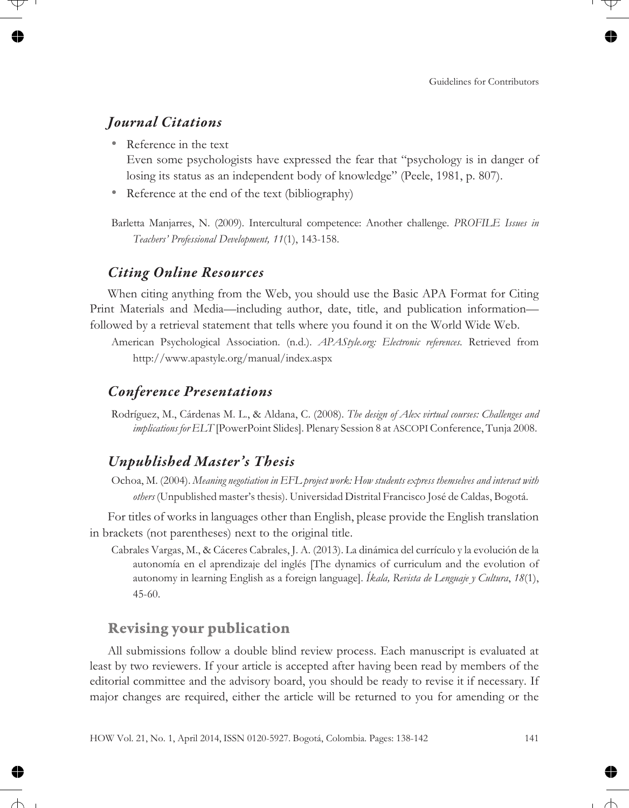## *Journal Citations*

• Reference in the text

Even some psychologists have expressed the fear that "psychology is in danger of losing its status as an independent body of knowledge" (Peele, 1981, p. 807).

• Reference at the end of the text (bibliography)

Barletta Manjarres, N. (2009). Intercultural competence: Another challenge. *PROFILE Issues in Teachers' Professional Development, 11*(1), 143-158.

#### *Citing Online Resources*

When citing anything from the Web, you should use the Basic APA Format for Citing Print Materials and Media—including author, date, title, and publication information followed by a retrieval statement that tells where you found it on the World Wide Web.

#### *Conference Presentations*

Rodríguez, M., Cárdenas M. L., & Aldana, C. (2008). *The design of Alex virtual courses: Challenges and implications for ELT* [PowerPoint Slides]. Plenary Session 8 at ASCOPIConference, Tunja 2008.

## *Unpublished Master's Thesis*

Ochoa, M. (2004). *Meaning negotiation in EFL project work: How students express themselves and interact with others* (Unpublished master's thesis). Universidad Distrital Francisco José de Caldas, Bogotá.

For titles of works in languages other than English, please provide the English translation in brackets (not parentheses) next to the original title.

Cabrales Vargas, M., & Cáceres Cabrales, J. A. (2013). La dinámica del currículo y la evolución de la autonomía en el aprendizaje del inglés [The dynamics of curriculum and the evolution of autonomy in learning English as a foreign language]. *Íkala, Revista de Lenguaje y Cultura*, *18*(1), 45-60.

## **Revising your publication**

All submissions follow a double blind review process. Each manuscript is evaluated at least by two reviewers. If your article is accepted after having been read by members of the editorial committee and the advisory board, you should be ready to revise it if necessary. If major changes are required, either the article will be returned to you for amending or the

American Psychological Association. (n.d.). *APAStyle.org: Electronic references.* Retrieved from http://www.apastyle.org/manual/index.aspx